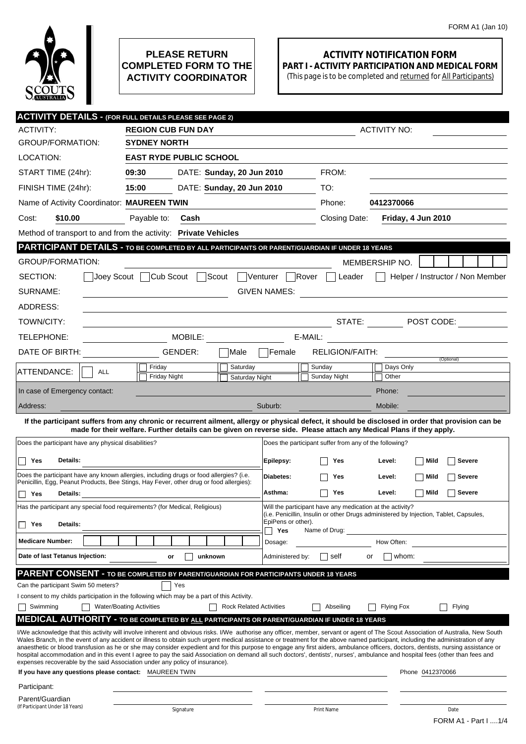

## **PLEASE RETURN COMPLETED FORM TO THE ACTIVITY COORDINATOR**

## **ACTIVITY NOTIFICATION FORM PART I - ACTIVITY PARTICIPATION AND MEDICAL FORM**

(This page is to be completed and returned for All Participants)

| <b>ACTIVITY NO:</b><br>ACTIVITY:<br><b>REGION CUB FUN DAY</b><br><b>GROUP/FORMATION:</b><br><b>SYDNEY NORTH</b><br>LOCATION:<br><b>EAST RYDE PUBLIC SCHOOL</b><br>FROM:<br>START TIME (24hr):<br>09:30<br>DATE: Sunday, 20 Jun 2010<br>15:00<br>DATE: Sunday, 20 Jun 2010<br>TO:<br>FINISH TIME (24hr):<br>Name of Activity Coordinator: MAUREEN TWIN<br>Phone:<br>0412370066<br>\$10.00<br>Friday, 4 Jun 2010<br>Cost:<br>Payable to:<br>Cash<br>Closing Date:<br>Method of transport to and from the activity: Private Vehicles<br>PARTICIPANT DETAILS - TO BE COMPLETED BY ALL PARTICIPANTS OR PARENT/GUARDIAN IF UNDER 18 YEARS<br><b>GROUP/FORMATION:</b><br>MEMBERSHIP NO.<br>Cub Scout<br>Scout<br>SECTION:<br>Joey Scout  <br>Venturer<br>Rover<br>Helper / Instructor / Non Member<br>Leader<br>SURNAME:<br><b>GIVEN NAMES:</b><br>ADDRESS:<br>STATE:<br>$\boxed{\blacksquare}$ POST CODE:<br>TOWN/CITY:<br>MOBILE:<br>E-MAIL:<br>TELEPHONE:<br>DATE OF BIRTH:<br>GENDER:<br>RELIGION/FAITH:<br>Female<br> Male<br>(Optional)<br>Friday<br>Saturday<br>Sunday<br>Days Only<br>ATTENDANCE:<br><b>ALL</b><br><b>Friday Night</b><br>Sunday Night<br>Other<br>Saturday Night<br>In case of Emergency contact:<br>Phone:<br>Suburb:<br>Mobile:<br>Address:<br>If the participant suffers from any chronic or recurrent ailment, allergy or physical defect, it should be disclosed in order that provision can be<br>made for their welfare. Further details can be given on reverse side. Please attach any Medical Plans if they apply.<br>Does the participant have any physical disabilities?<br>Does the participant suffer from any of the following?<br>Details:<br>    Yes<br>Epilepsy:<br>Yes<br>Level:<br>Mild<br>Severe<br>Does the participant have any known allergies, including drugs or food allergies? (i.e.<br>Diabetes:<br><b>Severe</b><br>Yes<br>Level:<br>Mild<br>Penicillin, Egg, Peanut Products, Bee Stings, Hay Fever, other drug or food allergies):<br>Asthma:<br>Level:<br><b>Severe</b><br>Yes<br>Mild<br>Yes<br>Details:<br>Has the participant any special food requirements? (for Medical, Religious)<br>Will the participant have any medication at the activity?<br>(i.e. Penicillin, Insulin or other Drugs administered by Injection, Tablet, Capsules,<br>EpiPens or other).<br>Details:<br>Π Yes<br>Yes<br>Name of Drug:<br><b>Medicare Number:</b><br>How Often:<br>Dosage:<br>Date of last Tetanus Injection:<br>unknown<br>Administered by:<br>whom:<br>or<br>self<br>or<br>PARENT CONSENT - TO BE COMPLETED BY PARENT/GUARDIAN FOR PARTICIPANTS UNDER 18 YEARS<br>Can the participant Swim 50 meters?<br>Yes<br>I consent to my childs participation in the following which may be a part of this Activity.<br><b>Water/Boating Activities</b><br><b>Rock Related Activities</b><br>Swimming<br>Abseiling<br><b>Flying Fox</b><br>Flying<br><b>MEDICAL AUTHORITY - TO BE COMPLETED BY ALL PARTICIPANTS OR PARENT/GUARDIAN IF UNDER 18 YEARS</b><br>I/We acknowledge that this activity will involve inherent and obvious risks. I/We authorise any officer, member, servant or agent of The Scout Association of Australia, New South<br>Wales Branch, in the event of any accident or illness to obtain such urgent medical assistance or treatment for the above named participant, including the administration of any<br>anaesthetic or blood transfusion as he or she may consider expedient and for this purpose to engage any first aiders, ambulance officers, doctors, dentists, nursing assistance or<br>hospital accommodation and in this event I agree to pay the said Association on demand all such doctors', dentists', nurses', ambulance and hospital fees (other than fees and<br>expenses recoverable by the said Association under any policy of insurance).<br>If you have any questions please contact: MAUREEN TWIN<br>Phone 0412370066<br>Participant:<br>Parent/Guardian<br>(If Participant Under 18 Years)<br>Signature<br>Print Name<br>Date |  | <b>ACTIVITY DETAILS - (FOR FULL DETAILS PLEASE SEE PAGE 2)</b> |  |  |  |
|--------------------------------------------------------------------------------------------------------------------------------------------------------------------------------------------------------------------------------------------------------------------------------------------------------------------------------------------------------------------------------------------------------------------------------------------------------------------------------------------------------------------------------------------------------------------------------------------------------------------------------------------------------------------------------------------------------------------------------------------------------------------------------------------------------------------------------------------------------------------------------------------------------------------------------------------------------------------------------------------------------------------------------------------------------------------------------------------------------------------------------------------------------------------------------------------------------------------------------------------------------------------------------------------------------------------------------------------------------------------------------------------------------------------------------------------------------------------------------------------------------------------------------------------------------------------------------------------------------------------------------------------------------------------------------------------------------------------------------------------------------------------------------------------------------------------------------------------------------------------------------------------------------------------------------------------------------------------------------------------------------------------------------------------------------------------------------------------------------------------------------------------------------------------------------------------------------------------------------------------------------------------------------------------------------------------------------------------------------------------------------------------------------------------------------------------------------------------------------------------------------------------------------------------------------------------------------------------------------------------------------------------------------------------------------------------------------------------------------------------------------------------------------------------------------------------------------------------------------------------------------------------------------------------------------------------------------------------------------------------------------------------------------------------------------------------------------------------------------------------------------------------------------------------------------------------------------------------------------------------------------------------------------------------------------------------------------------------------------------------------------------------------------------------------------------------------------------------------------------------------------------------------------------------------------------------------------------------------------------------------------------------------------------------------------------------------------------------------------------------------------------------------------------------------------------------------------------------------------------------------------------------------------------------------------------------------------------------------------------------------------------------------|--|----------------------------------------------------------------|--|--|--|
|                                                                                                                                                                                                                                                                                                                                                                                                                                                                                                                                                                                                                                                                                                                                                                                                                                                                                                                                                                                                                                                                                                                                                                                                                                                                                                                                                                                                                                                                                                                                                                                                                                                                                                                                                                                                                                                                                                                                                                                                                                                                                                                                                                                                                                                                                                                                                                                                                                                                                                                                                                                                                                                                                                                                                                                                                                                                                                                                                                                                                                                                                                                                                                                                                                                                                                                                                                                                                                                                                                                                                                                                                                                                                                                                                                                                                                                                                                                                                                                                                          |  |                                                                |  |  |  |
|                                                                                                                                                                                                                                                                                                                                                                                                                                                                                                                                                                                                                                                                                                                                                                                                                                                                                                                                                                                                                                                                                                                                                                                                                                                                                                                                                                                                                                                                                                                                                                                                                                                                                                                                                                                                                                                                                                                                                                                                                                                                                                                                                                                                                                                                                                                                                                                                                                                                                                                                                                                                                                                                                                                                                                                                                                                                                                                                                                                                                                                                                                                                                                                                                                                                                                                                                                                                                                                                                                                                                                                                                                                                                                                                                                                                                                                                                                                                                                                                                          |  |                                                                |  |  |  |
|                                                                                                                                                                                                                                                                                                                                                                                                                                                                                                                                                                                                                                                                                                                                                                                                                                                                                                                                                                                                                                                                                                                                                                                                                                                                                                                                                                                                                                                                                                                                                                                                                                                                                                                                                                                                                                                                                                                                                                                                                                                                                                                                                                                                                                                                                                                                                                                                                                                                                                                                                                                                                                                                                                                                                                                                                                                                                                                                                                                                                                                                                                                                                                                                                                                                                                                                                                                                                                                                                                                                                                                                                                                                                                                                                                                                                                                                                                                                                                                                                          |  |                                                                |  |  |  |
|                                                                                                                                                                                                                                                                                                                                                                                                                                                                                                                                                                                                                                                                                                                                                                                                                                                                                                                                                                                                                                                                                                                                                                                                                                                                                                                                                                                                                                                                                                                                                                                                                                                                                                                                                                                                                                                                                                                                                                                                                                                                                                                                                                                                                                                                                                                                                                                                                                                                                                                                                                                                                                                                                                                                                                                                                                                                                                                                                                                                                                                                                                                                                                                                                                                                                                                                                                                                                                                                                                                                                                                                                                                                                                                                                                                                                                                                                                                                                                                                                          |  |                                                                |  |  |  |
|                                                                                                                                                                                                                                                                                                                                                                                                                                                                                                                                                                                                                                                                                                                                                                                                                                                                                                                                                                                                                                                                                                                                                                                                                                                                                                                                                                                                                                                                                                                                                                                                                                                                                                                                                                                                                                                                                                                                                                                                                                                                                                                                                                                                                                                                                                                                                                                                                                                                                                                                                                                                                                                                                                                                                                                                                                                                                                                                                                                                                                                                                                                                                                                                                                                                                                                                                                                                                                                                                                                                                                                                                                                                                                                                                                                                                                                                                                                                                                                                                          |  |                                                                |  |  |  |
|                                                                                                                                                                                                                                                                                                                                                                                                                                                                                                                                                                                                                                                                                                                                                                                                                                                                                                                                                                                                                                                                                                                                                                                                                                                                                                                                                                                                                                                                                                                                                                                                                                                                                                                                                                                                                                                                                                                                                                                                                                                                                                                                                                                                                                                                                                                                                                                                                                                                                                                                                                                                                                                                                                                                                                                                                                                                                                                                                                                                                                                                                                                                                                                                                                                                                                                                                                                                                                                                                                                                                                                                                                                                                                                                                                                                                                                                                                                                                                                                                          |  |                                                                |  |  |  |
|                                                                                                                                                                                                                                                                                                                                                                                                                                                                                                                                                                                                                                                                                                                                                                                                                                                                                                                                                                                                                                                                                                                                                                                                                                                                                                                                                                                                                                                                                                                                                                                                                                                                                                                                                                                                                                                                                                                                                                                                                                                                                                                                                                                                                                                                                                                                                                                                                                                                                                                                                                                                                                                                                                                                                                                                                                                                                                                                                                                                                                                                                                                                                                                                                                                                                                                                                                                                                                                                                                                                                                                                                                                                                                                                                                                                                                                                                                                                                                                                                          |  |                                                                |  |  |  |
|                                                                                                                                                                                                                                                                                                                                                                                                                                                                                                                                                                                                                                                                                                                                                                                                                                                                                                                                                                                                                                                                                                                                                                                                                                                                                                                                                                                                                                                                                                                                                                                                                                                                                                                                                                                                                                                                                                                                                                                                                                                                                                                                                                                                                                                                                                                                                                                                                                                                                                                                                                                                                                                                                                                                                                                                                                                                                                                                                                                                                                                                                                                                                                                                                                                                                                                                                                                                                                                                                                                                                                                                                                                                                                                                                                                                                                                                                                                                                                                                                          |  |                                                                |  |  |  |
|                                                                                                                                                                                                                                                                                                                                                                                                                                                                                                                                                                                                                                                                                                                                                                                                                                                                                                                                                                                                                                                                                                                                                                                                                                                                                                                                                                                                                                                                                                                                                                                                                                                                                                                                                                                                                                                                                                                                                                                                                                                                                                                                                                                                                                                                                                                                                                                                                                                                                                                                                                                                                                                                                                                                                                                                                                                                                                                                                                                                                                                                                                                                                                                                                                                                                                                                                                                                                                                                                                                                                                                                                                                                                                                                                                                                                                                                                                                                                                                                                          |  |                                                                |  |  |  |
|                                                                                                                                                                                                                                                                                                                                                                                                                                                                                                                                                                                                                                                                                                                                                                                                                                                                                                                                                                                                                                                                                                                                                                                                                                                                                                                                                                                                                                                                                                                                                                                                                                                                                                                                                                                                                                                                                                                                                                                                                                                                                                                                                                                                                                                                                                                                                                                                                                                                                                                                                                                                                                                                                                                                                                                                                                                                                                                                                                                                                                                                                                                                                                                                                                                                                                                                                                                                                                                                                                                                                                                                                                                                                                                                                                                                                                                                                                                                                                                                                          |  |                                                                |  |  |  |
|                                                                                                                                                                                                                                                                                                                                                                                                                                                                                                                                                                                                                                                                                                                                                                                                                                                                                                                                                                                                                                                                                                                                                                                                                                                                                                                                                                                                                                                                                                                                                                                                                                                                                                                                                                                                                                                                                                                                                                                                                                                                                                                                                                                                                                                                                                                                                                                                                                                                                                                                                                                                                                                                                                                                                                                                                                                                                                                                                                                                                                                                                                                                                                                                                                                                                                                                                                                                                                                                                                                                                                                                                                                                                                                                                                                                                                                                                                                                                                                                                          |  |                                                                |  |  |  |
|                                                                                                                                                                                                                                                                                                                                                                                                                                                                                                                                                                                                                                                                                                                                                                                                                                                                                                                                                                                                                                                                                                                                                                                                                                                                                                                                                                                                                                                                                                                                                                                                                                                                                                                                                                                                                                                                                                                                                                                                                                                                                                                                                                                                                                                                                                                                                                                                                                                                                                                                                                                                                                                                                                                                                                                                                                                                                                                                                                                                                                                                                                                                                                                                                                                                                                                                                                                                                                                                                                                                                                                                                                                                                                                                                                                                                                                                                                                                                                                                                          |  |                                                                |  |  |  |
|                                                                                                                                                                                                                                                                                                                                                                                                                                                                                                                                                                                                                                                                                                                                                                                                                                                                                                                                                                                                                                                                                                                                                                                                                                                                                                                                                                                                                                                                                                                                                                                                                                                                                                                                                                                                                                                                                                                                                                                                                                                                                                                                                                                                                                                                                                                                                                                                                                                                                                                                                                                                                                                                                                                                                                                                                                                                                                                                                                                                                                                                                                                                                                                                                                                                                                                                                                                                                                                                                                                                                                                                                                                                                                                                                                                                                                                                                                                                                                                                                          |  |                                                                |  |  |  |
|                                                                                                                                                                                                                                                                                                                                                                                                                                                                                                                                                                                                                                                                                                                                                                                                                                                                                                                                                                                                                                                                                                                                                                                                                                                                                                                                                                                                                                                                                                                                                                                                                                                                                                                                                                                                                                                                                                                                                                                                                                                                                                                                                                                                                                                                                                                                                                                                                                                                                                                                                                                                                                                                                                                                                                                                                                                                                                                                                                                                                                                                                                                                                                                                                                                                                                                                                                                                                                                                                                                                                                                                                                                                                                                                                                                                                                                                                                                                                                                                                          |  |                                                                |  |  |  |
|                                                                                                                                                                                                                                                                                                                                                                                                                                                                                                                                                                                                                                                                                                                                                                                                                                                                                                                                                                                                                                                                                                                                                                                                                                                                                                                                                                                                                                                                                                                                                                                                                                                                                                                                                                                                                                                                                                                                                                                                                                                                                                                                                                                                                                                                                                                                                                                                                                                                                                                                                                                                                                                                                                                                                                                                                                                                                                                                                                                                                                                                                                                                                                                                                                                                                                                                                                                                                                                                                                                                                                                                                                                                                                                                                                                                                                                                                                                                                                                                                          |  |                                                                |  |  |  |
|                                                                                                                                                                                                                                                                                                                                                                                                                                                                                                                                                                                                                                                                                                                                                                                                                                                                                                                                                                                                                                                                                                                                                                                                                                                                                                                                                                                                                                                                                                                                                                                                                                                                                                                                                                                                                                                                                                                                                                                                                                                                                                                                                                                                                                                                                                                                                                                                                                                                                                                                                                                                                                                                                                                                                                                                                                                                                                                                                                                                                                                                                                                                                                                                                                                                                                                                                                                                                                                                                                                                                                                                                                                                                                                                                                                                                                                                                                                                                                                                                          |  |                                                                |  |  |  |
|                                                                                                                                                                                                                                                                                                                                                                                                                                                                                                                                                                                                                                                                                                                                                                                                                                                                                                                                                                                                                                                                                                                                                                                                                                                                                                                                                                                                                                                                                                                                                                                                                                                                                                                                                                                                                                                                                                                                                                                                                                                                                                                                                                                                                                                                                                                                                                                                                                                                                                                                                                                                                                                                                                                                                                                                                                                                                                                                                                                                                                                                                                                                                                                                                                                                                                                                                                                                                                                                                                                                                                                                                                                                                                                                                                                                                                                                                                                                                                                                                          |  |                                                                |  |  |  |
|                                                                                                                                                                                                                                                                                                                                                                                                                                                                                                                                                                                                                                                                                                                                                                                                                                                                                                                                                                                                                                                                                                                                                                                                                                                                                                                                                                                                                                                                                                                                                                                                                                                                                                                                                                                                                                                                                                                                                                                                                                                                                                                                                                                                                                                                                                                                                                                                                                                                                                                                                                                                                                                                                                                                                                                                                                                                                                                                                                                                                                                                                                                                                                                                                                                                                                                                                                                                                                                                                                                                                                                                                                                                                                                                                                                                                                                                                                                                                                                                                          |  |                                                                |  |  |  |
|                                                                                                                                                                                                                                                                                                                                                                                                                                                                                                                                                                                                                                                                                                                                                                                                                                                                                                                                                                                                                                                                                                                                                                                                                                                                                                                                                                                                                                                                                                                                                                                                                                                                                                                                                                                                                                                                                                                                                                                                                                                                                                                                                                                                                                                                                                                                                                                                                                                                                                                                                                                                                                                                                                                                                                                                                                                                                                                                                                                                                                                                                                                                                                                                                                                                                                                                                                                                                                                                                                                                                                                                                                                                                                                                                                                                                                                                                                                                                                                                                          |  |                                                                |  |  |  |
|                                                                                                                                                                                                                                                                                                                                                                                                                                                                                                                                                                                                                                                                                                                                                                                                                                                                                                                                                                                                                                                                                                                                                                                                                                                                                                                                                                                                                                                                                                                                                                                                                                                                                                                                                                                                                                                                                                                                                                                                                                                                                                                                                                                                                                                                                                                                                                                                                                                                                                                                                                                                                                                                                                                                                                                                                                                                                                                                                                                                                                                                                                                                                                                                                                                                                                                                                                                                                                                                                                                                                                                                                                                                                                                                                                                                                                                                                                                                                                                                                          |  |                                                                |  |  |  |
|                                                                                                                                                                                                                                                                                                                                                                                                                                                                                                                                                                                                                                                                                                                                                                                                                                                                                                                                                                                                                                                                                                                                                                                                                                                                                                                                                                                                                                                                                                                                                                                                                                                                                                                                                                                                                                                                                                                                                                                                                                                                                                                                                                                                                                                                                                                                                                                                                                                                                                                                                                                                                                                                                                                                                                                                                                                                                                                                                                                                                                                                                                                                                                                                                                                                                                                                                                                                                                                                                                                                                                                                                                                                                                                                                                                                                                                                                                                                                                                                                          |  |                                                                |  |  |  |
|                                                                                                                                                                                                                                                                                                                                                                                                                                                                                                                                                                                                                                                                                                                                                                                                                                                                                                                                                                                                                                                                                                                                                                                                                                                                                                                                                                                                                                                                                                                                                                                                                                                                                                                                                                                                                                                                                                                                                                                                                                                                                                                                                                                                                                                                                                                                                                                                                                                                                                                                                                                                                                                                                                                                                                                                                                                                                                                                                                                                                                                                                                                                                                                                                                                                                                                                                                                                                                                                                                                                                                                                                                                                                                                                                                                                                                                                                                                                                                                                                          |  |                                                                |  |  |  |
|                                                                                                                                                                                                                                                                                                                                                                                                                                                                                                                                                                                                                                                                                                                                                                                                                                                                                                                                                                                                                                                                                                                                                                                                                                                                                                                                                                                                                                                                                                                                                                                                                                                                                                                                                                                                                                                                                                                                                                                                                                                                                                                                                                                                                                                                                                                                                                                                                                                                                                                                                                                                                                                                                                                                                                                                                                                                                                                                                                                                                                                                                                                                                                                                                                                                                                                                                                                                                                                                                                                                                                                                                                                                                                                                                                                                                                                                                                                                                                                                                          |  |                                                                |  |  |  |
|                                                                                                                                                                                                                                                                                                                                                                                                                                                                                                                                                                                                                                                                                                                                                                                                                                                                                                                                                                                                                                                                                                                                                                                                                                                                                                                                                                                                                                                                                                                                                                                                                                                                                                                                                                                                                                                                                                                                                                                                                                                                                                                                                                                                                                                                                                                                                                                                                                                                                                                                                                                                                                                                                                                                                                                                                                                                                                                                                                                                                                                                                                                                                                                                                                                                                                                                                                                                                                                                                                                                                                                                                                                                                                                                                                                                                                                                                                                                                                                                                          |  |                                                                |  |  |  |
|                                                                                                                                                                                                                                                                                                                                                                                                                                                                                                                                                                                                                                                                                                                                                                                                                                                                                                                                                                                                                                                                                                                                                                                                                                                                                                                                                                                                                                                                                                                                                                                                                                                                                                                                                                                                                                                                                                                                                                                                                                                                                                                                                                                                                                                                                                                                                                                                                                                                                                                                                                                                                                                                                                                                                                                                                                                                                                                                                                                                                                                                                                                                                                                                                                                                                                                                                                                                                                                                                                                                                                                                                                                                                                                                                                                                                                                                                                                                                                                                                          |  |                                                                |  |  |  |
|                                                                                                                                                                                                                                                                                                                                                                                                                                                                                                                                                                                                                                                                                                                                                                                                                                                                                                                                                                                                                                                                                                                                                                                                                                                                                                                                                                                                                                                                                                                                                                                                                                                                                                                                                                                                                                                                                                                                                                                                                                                                                                                                                                                                                                                                                                                                                                                                                                                                                                                                                                                                                                                                                                                                                                                                                                                                                                                                                                                                                                                                                                                                                                                                                                                                                                                                                                                                                                                                                                                                                                                                                                                                                                                                                                                                                                                                                                                                                                                                                          |  |                                                                |  |  |  |
|                                                                                                                                                                                                                                                                                                                                                                                                                                                                                                                                                                                                                                                                                                                                                                                                                                                                                                                                                                                                                                                                                                                                                                                                                                                                                                                                                                                                                                                                                                                                                                                                                                                                                                                                                                                                                                                                                                                                                                                                                                                                                                                                                                                                                                                                                                                                                                                                                                                                                                                                                                                                                                                                                                                                                                                                                                                                                                                                                                                                                                                                                                                                                                                                                                                                                                                                                                                                                                                                                                                                                                                                                                                                                                                                                                                                                                                                                                                                                                                                                          |  |                                                                |  |  |  |
|                                                                                                                                                                                                                                                                                                                                                                                                                                                                                                                                                                                                                                                                                                                                                                                                                                                                                                                                                                                                                                                                                                                                                                                                                                                                                                                                                                                                                                                                                                                                                                                                                                                                                                                                                                                                                                                                                                                                                                                                                                                                                                                                                                                                                                                                                                                                                                                                                                                                                                                                                                                                                                                                                                                                                                                                                                                                                                                                                                                                                                                                                                                                                                                                                                                                                                                                                                                                                                                                                                                                                                                                                                                                                                                                                                                                                                                                                                                                                                                                                          |  |                                                                |  |  |  |
|                                                                                                                                                                                                                                                                                                                                                                                                                                                                                                                                                                                                                                                                                                                                                                                                                                                                                                                                                                                                                                                                                                                                                                                                                                                                                                                                                                                                                                                                                                                                                                                                                                                                                                                                                                                                                                                                                                                                                                                                                                                                                                                                                                                                                                                                                                                                                                                                                                                                                                                                                                                                                                                                                                                                                                                                                                                                                                                                                                                                                                                                                                                                                                                                                                                                                                                                                                                                                                                                                                                                                                                                                                                                                                                                                                                                                                                                                                                                                                                                                          |  |                                                                |  |  |  |
|                                                                                                                                                                                                                                                                                                                                                                                                                                                                                                                                                                                                                                                                                                                                                                                                                                                                                                                                                                                                                                                                                                                                                                                                                                                                                                                                                                                                                                                                                                                                                                                                                                                                                                                                                                                                                                                                                                                                                                                                                                                                                                                                                                                                                                                                                                                                                                                                                                                                                                                                                                                                                                                                                                                                                                                                                                                                                                                                                                                                                                                                                                                                                                                                                                                                                                                                                                                                                                                                                                                                                                                                                                                                                                                                                                                                                                                                                                                                                                                                                          |  |                                                                |  |  |  |
|                                                                                                                                                                                                                                                                                                                                                                                                                                                                                                                                                                                                                                                                                                                                                                                                                                                                                                                                                                                                                                                                                                                                                                                                                                                                                                                                                                                                                                                                                                                                                                                                                                                                                                                                                                                                                                                                                                                                                                                                                                                                                                                                                                                                                                                                                                                                                                                                                                                                                                                                                                                                                                                                                                                                                                                                                                                                                                                                                                                                                                                                                                                                                                                                                                                                                                                                                                                                                                                                                                                                                                                                                                                                                                                                                                                                                                                                                                                                                                                                                          |  |                                                                |  |  |  |
|                                                                                                                                                                                                                                                                                                                                                                                                                                                                                                                                                                                                                                                                                                                                                                                                                                                                                                                                                                                                                                                                                                                                                                                                                                                                                                                                                                                                                                                                                                                                                                                                                                                                                                                                                                                                                                                                                                                                                                                                                                                                                                                                                                                                                                                                                                                                                                                                                                                                                                                                                                                                                                                                                                                                                                                                                                                                                                                                                                                                                                                                                                                                                                                                                                                                                                                                                                                                                                                                                                                                                                                                                                                                                                                                                                                                                                                                                                                                                                                                                          |  |                                                                |  |  |  |
|                                                                                                                                                                                                                                                                                                                                                                                                                                                                                                                                                                                                                                                                                                                                                                                                                                                                                                                                                                                                                                                                                                                                                                                                                                                                                                                                                                                                                                                                                                                                                                                                                                                                                                                                                                                                                                                                                                                                                                                                                                                                                                                                                                                                                                                                                                                                                                                                                                                                                                                                                                                                                                                                                                                                                                                                                                                                                                                                                                                                                                                                                                                                                                                                                                                                                                                                                                                                                                                                                                                                                                                                                                                                                                                                                                                                                                                                                                                                                                                                                          |  |                                                                |  |  |  |
|                                                                                                                                                                                                                                                                                                                                                                                                                                                                                                                                                                                                                                                                                                                                                                                                                                                                                                                                                                                                                                                                                                                                                                                                                                                                                                                                                                                                                                                                                                                                                                                                                                                                                                                                                                                                                                                                                                                                                                                                                                                                                                                                                                                                                                                                                                                                                                                                                                                                                                                                                                                                                                                                                                                                                                                                                                                                                                                                                                                                                                                                                                                                                                                                                                                                                                                                                                                                                                                                                                                                                                                                                                                                                                                                                                                                                                                                                                                                                                                                                          |  |                                                                |  |  |  |
|                                                                                                                                                                                                                                                                                                                                                                                                                                                                                                                                                                                                                                                                                                                                                                                                                                                                                                                                                                                                                                                                                                                                                                                                                                                                                                                                                                                                                                                                                                                                                                                                                                                                                                                                                                                                                                                                                                                                                                                                                                                                                                                                                                                                                                                                                                                                                                                                                                                                                                                                                                                                                                                                                                                                                                                                                                                                                                                                                                                                                                                                                                                                                                                                                                                                                                                                                                                                                                                                                                                                                                                                                                                                                                                                                                                                                                                                                                                                                                                                                          |  |                                                                |  |  |  |
|                                                                                                                                                                                                                                                                                                                                                                                                                                                                                                                                                                                                                                                                                                                                                                                                                                                                                                                                                                                                                                                                                                                                                                                                                                                                                                                                                                                                                                                                                                                                                                                                                                                                                                                                                                                                                                                                                                                                                                                                                                                                                                                                                                                                                                                                                                                                                                                                                                                                                                                                                                                                                                                                                                                                                                                                                                                                                                                                                                                                                                                                                                                                                                                                                                                                                                                                                                                                                                                                                                                                                                                                                                                                                                                                                                                                                                                                                                                                                                                                                          |  |                                                                |  |  |  |
|                                                                                                                                                                                                                                                                                                                                                                                                                                                                                                                                                                                                                                                                                                                                                                                                                                                                                                                                                                                                                                                                                                                                                                                                                                                                                                                                                                                                                                                                                                                                                                                                                                                                                                                                                                                                                                                                                                                                                                                                                                                                                                                                                                                                                                                                                                                                                                                                                                                                                                                                                                                                                                                                                                                                                                                                                                                                                                                                                                                                                                                                                                                                                                                                                                                                                                                                                                                                                                                                                                                                                                                                                                                                                                                                                                                                                                                                                                                                                                                                                          |  |                                                                |  |  |  |
|                                                                                                                                                                                                                                                                                                                                                                                                                                                                                                                                                                                                                                                                                                                                                                                                                                                                                                                                                                                                                                                                                                                                                                                                                                                                                                                                                                                                                                                                                                                                                                                                                                                                                                                                                                                                                                                                                                                                                                                                                                                                                                                                                                                                                                                                                                                                                                                                                                                                                                                                                                                                                                                                                                                                                                                                                                                                                                                                                                                                                                                                                                                                                                                                                                                                                                                                                                                                                                                                                                                                                                                                                                                                                                                                                                                                                                                                                                                                                                                                                          |  |                                                                |  |  |  |
|                                                                                                                                                                                                                                                                                                                                                                                                                                                                                                                                                                                                                                                                                                                                                                                                                                                                                                                                                                                                                                                                                                                                                                                                                                                                                                                                                                                                                                                                                                                                                                                                                                                                                                                                                                                                                                                                                                                                                                                                                                                                                                                                                                                                                                                                                                                                                                                                                                                                                                                                                                                                                                                                                                                                                                                                                                                                                                                                                                                                                                                                                                                                                                                                                                                                                                                                                                                                                                                                                                                                                                                                                                                                                                                                                                                                                                                                                                                                                                                                                          |  |                                                                |  |  |  |
|                                                                                                                                                                                                                                                                                                                                                                                                                                                                                                                                                                                                                                                                                                                                                                                                                                                                                                                                                                                                                                                                                                                                                                                                                                                                                                                                                                                                                                                                                                                                                                                                                                                                                                                                                                                                                                                                                                                                                                                                                                                                                                                                                                                                                                                                                                                                                                                                                                                                                                                                                                                                                                                                                                                                                                                                                                                                                                                                                                                                                                                                                                                                                                                                                                                                                                                                                                                                                                                                                                                                                                                                                                                                                                                                                                                                                                                                                                                                                                                                                          |  |                                                                |  |  |  |
| FORM A1 - Part I  1/4                                                                                                                                                                                                                                                                                                                                                                                                                                                                                                                                                                                                                                                                                                                                                                                                                                                                                                                                                                                                                                                                                                                                                                                                                                                                                                                                                                                                                                                                                                                                                                                                                                                                                                                                                                                                                                                                                                                                                                                                                                                                                                                                                                                                                                                                                                                                                                                                                                                                                                                                                                                                                                                                                                                                                                                                                                                                                                                                                                                                                                                                                                                                                                                                                                                                                                                                                                                                                                                                                                                                                                                                                                                                                                                                                                                                                                                                                                                                                                                                    |  |                                                                |  |  |  |
|                                                                                                                                                                                                                                                                                                                                                                                                                                                                                                                                                                                                                                                                                                                                                                                                                                                                                                                                                                                                                                                                                                                                                                                                                                                                                                                                                                                                                                                                                                                                                                                                                                                                                                                                                                                                                                                                                                                                                                                                                                                                                                                                                                                                                                                                                                                                                                                                                                                                                                                                                                                                                                                                                                                                                                                                                                                                                                                                                                                                                                                                                                                                                                                                                                                                                                                                                                                                                                                                                                                                                                                                                                                                                                                                                                                                                                                                                                                                                                                                                          |  |                                                                |  |  |  |